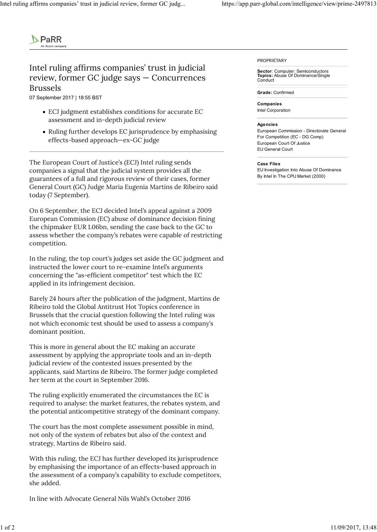

## Intel ruling affirms companies' trust in judicial review, former GC judge says — Concurrences Brussels

07 September 2017 | 18:55 BST

- ECJ judgment establishes conditions for accurate EC assessment and in-depth judicial review
- Ruling further develops EC jurisprudence by emphasising effects-based approach—ex-GC judge

The European Court of Justice's (ECJ) Intel ruling sends companies a signal that the judicial system provides all the guarantees of a full and rigorous review of their cases, former General Court (GC) Judge Maria Eugenia Martins de Ribeiro said today (7 September).

On 6 September, the ECJ decided Intel's appeal against a 2009 European Commission (EC) abuse of dominance decision fining the chipmaker EUR 1.06bn, sending the case back to the GC to assess whether the company's rebates were capable of restricting competition.

In the ruling, the top court's judges set aside the GC judgment and instructed the lower court to re-examine Intel's arguments concerning the "as-efficient competitor" test which the EC applied in its infringement decision.

Barely 24 hours after the publication of the judgment, Martins de Ribeiro told the Global Antitrust Hot Topics conference in Brussels that the crucial question following the Intel ruling was not which economic test should be used to assess a company's dominant position.

This is more in general about the EC making an accurate assessment by applying the appropriate tools and an in-depth judicial review of the contested issues presented by the applicants, said Martins de Ribeiro. The former judge completed her term at the court in September 2016.

The ruling explicitly enumerated the circumstances the EC is required to analyse: the market features, the rebates system, and the potential anticompetitive strategy of the dominant company.

The court has the most complete assessment possible in mind, not only of the system of rebates but also of the context and strategy, Martins de Ribeiro said.

With this ruling, the ECJ has further developed its jurisprudence by emphasising the importance of an effects-based approach in the assessment of a company's capability to exclude competitors, she added. process results are two unconverse or some presented or your<br>applicants, said Martins de Ribeiro. The former judge completed<br>her term at the court in September 2016.<br>The ruling explicitly enumerated the circumstances the F

In line with Advocate General Nils Wahl's October 2016

PROPRIETARY

Sector: Computer: Semiconductors Topics: Abuse Of Dominance/Single Conduct

Grade: Confirmed

Companies Intel Corporation

## Agencies

European Commission - Directorate General For Competition (EC - DG Comp) European Court Of Justice EU General Court

## Case Files

EU Investigation Into Abuse Of Dominance By Intel In The CPU Market (2000)